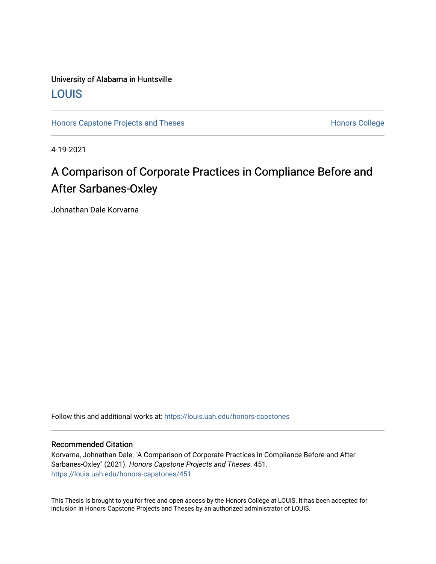## University of Alabama in Huntsville [LOUIS](https://louis.uah.edu/)

[Honors Capstone Projects and Theses](https://louis.uah.edu/honors-capstones) **Honors College** Honors College

4-19-2021

## A Comparison of Corporate Practices in Compliance Before and After Sarbanes-Oxley

Johnathan Dale Korvarna

Follow this and additional works at: [https://louis.uah.edu/honors-capstones](https://louis.uah.edu/honors-capstones?utm_source=louis.uah.edu%2Fhonors-capstones%2F451&utm_medium=PDF&utm_campaign=PDFCoverPages) 

#### Recommended Citation

Korvarna, Johnathan Dale, "A Comparison of Corporate Practices in Compliance Before and After Sarbanes-Oxley" (2021). Honors Capstone Projects and Theses. 451. [https://louis.uah.edu/honors-capstones/451](https://louis.uah.edu/honors-capstones/451?utm_source=louis.uah.edu%2Fhonors-capstones%2F451&utm_medium=PDF&utm_campaign=PDFCoverPages) 

This Thesis is brought to you for free and open access by the Honors College at LOUIS. It has been accepted for inclusion in Honors Capstone Projects and Theses by an authorized administrator of LOUIS.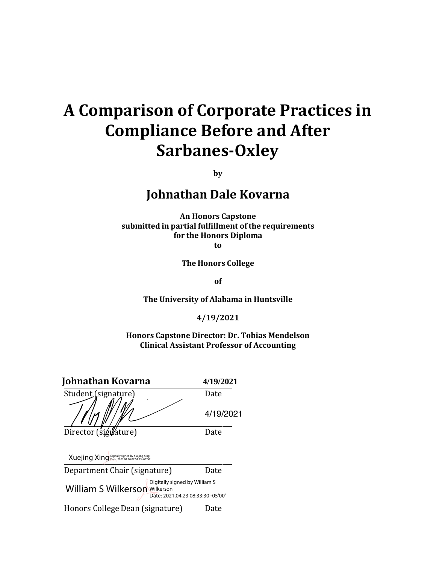# **A Comparison of Corporate Practices in Compliance Before and After Sarbanes-Oxley**

**by**

**Johnathan Dale Kovarna**

**An Honors Capstone submitted in partial fulfillment of the requirements for the Honors Diploma to**

**The Honors College**

**of**

**The University of Alabama in Huntsville**

**4/19/2021**

**Honors Capstone Director: Dr. Tobias Mendelson Clinical Assistant Professor of Accounting**

| Johnathan Kovarna                                                                                          | 4/19/2021 |
|------------------------------------------------------------------------------------------------------------|-----------|
| Student (signature)                                                                                        | Date      |
|                                                                                                            | 4/19/2021 |
| Director (signature)                                                                                       | Date      |
| Xuejing Xing Digitally signed by Xuejing Xing                                                              |           |
| Department Chair (signature)                                                                               | Date      |
| Digitally signed by William S<br><b>William S Wilkerson Wilkerson</b><br>Date: 2021.04.23 08:33:30 -05'00' |           |

Honors College Dean (signature) Date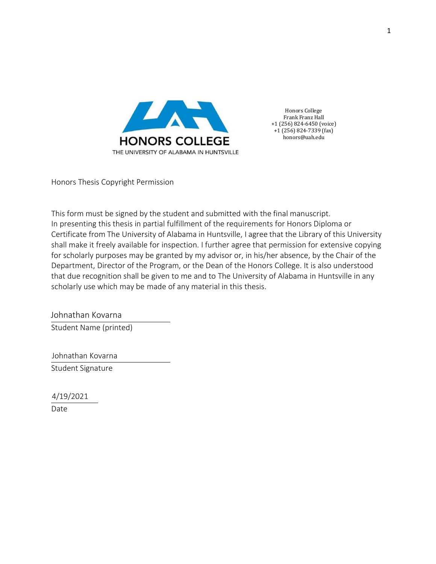

Honors College Frank Franz Hall +1 (256) 824-6450 (voice) +1 (256) 824-7339 (fax) honors@uah.edu

Honors Thesis Copyright Permission

This form must be signed by the student and submitted with the final manuscript. In presenting this thesis in partial fulfillment of the requirements for Honors Diploma or Certificate from The University of Alabama in Huntsville, I agree that the Library of this University shall make it freely available for inspection. I further agree that permission for extensive copying for scholarly purposes may be granted by my advisor or, in his/her absence, by the Chair of the Department, Director of the Program, or the Dean of the Honors College. It is also understood that due recognition shall be given to me and to The University of Alabama in Huntsville in any scholarly use which may be made of any material in this thesis.

 Johnathan Kovarna Student Name (printed)

 Johnathan Kovarna Student Signature

 4/19/2021 Date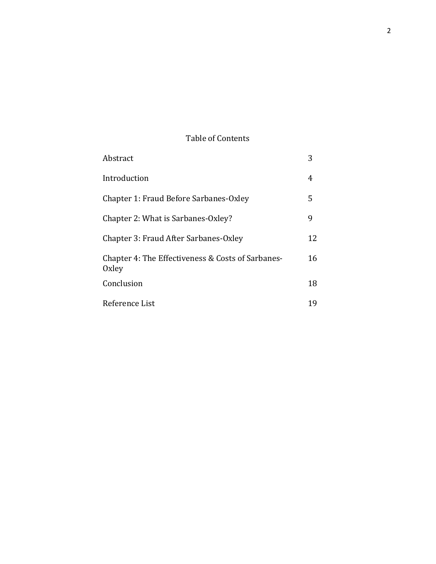### Table of Contents

| Abstract                                                          | 3   |
|-------------------------------------------------------------------|-----|
| Introduction                                                      | 4   |
| Chapter 1: Fraud Before Sarbanes-Oxley                            | 5   |
| Chapter 2: What is Sarbanes-Oxley?                                | 9   |
| Chapter 3: Fraud After Sarbanes-Oxley                             | 12. |
| Chapter 4: The Effectiveness & Costs of Sarbanes-<br><b>Oxley</b> | 16  |
| Conclusion                                                        | 18  |
| Reference List                                                    | 19  |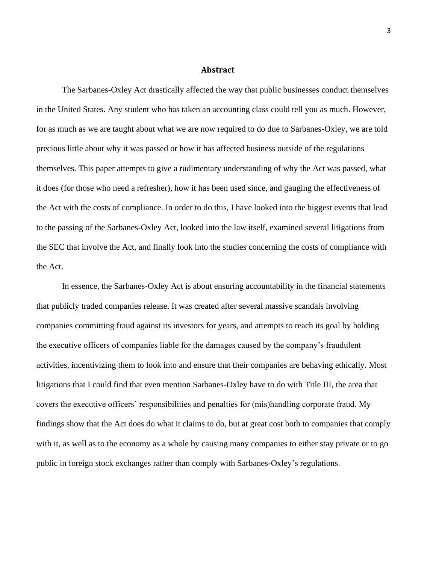#### **Abstract**

The Sarbanes-Oxley Act drastically affected the way that public businesses conduct themselves in the United States. Any student who has taken an accounting class could tell you as much. However, for as much as we are taught about what we are now required to do due to Sarbanes-Oxley, we are told precious little about why it was passed or how it has affected business outside of the regulations themselves. This paper attempts to give a rudimentary understanding of why the Act was passed, what it does (for those who need a refresher), how it has been used since, and gauging the effectiveness of the Act with the costs of compliance. In order to do this, I have looked into the biggest events that lead to the passing of the Sarbanes-Oxley Act, looked into the law itself, examined several litigations from the SEC that involve the Act, and finally look into the studies concerning the costs of compliance with the Act.

In essence, the Sarbanes-Oxley Act is about ensuring accountability in the financial statements that publicly traded companies release. It was created after several massive scandals involving companies committing fraud against its investors for years, and attempts to reach its goal by holding the executive officers of companies liable for the damages caused by the company's fraudulent activities, incentivizing them to look into and ensure that their companies are behaving ethically. Most litigations that I could find that even mention Sarbanes-Oxley have to do with Title III, the area that covers the executive officers' responsibilities and penalties for (mis)handling corporate fraud. My findings show that the Act does do what it claims to do, but at great cost both to companies that comply with it, as well as to the economy as a whole by causing many companies to either stay private or to go public in foreign stock exchanges rather than comply with Sarbanes-Oxley's regulations.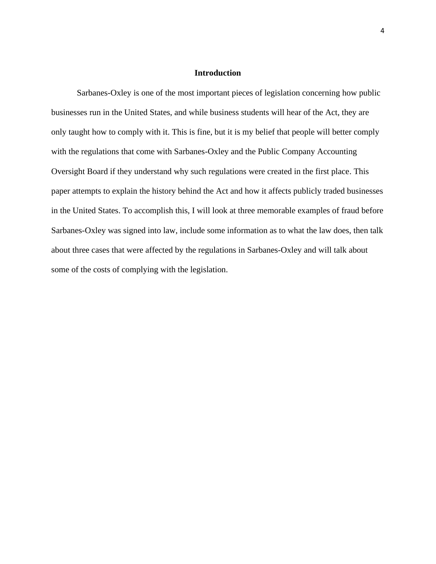#### **Introduction**

Sarbanes-Oxley is one of the most important pieces of legislation concerning how public businesses run in the United States, and while business students will hear of the Act, they are only taught how to comply with it. This is fine, but it is my belief that people will better comply with the regulations that come with Sarbanes-Oxley and the Public Company Accounting Oversight Board if they understand why such regulations were created in the first place. This paper attempts to explain the history behind the Act and how it affects publicly traded businesses in the United States. To accomplish this, I will look at three memorable examples of fraud before Sarbanes-Oxley was signed into law, include some information as to what the law does, then talk about three cases that were affected by the regulations in Sarbanes-Oxley and will talk about some of the costs of complying with the legislation.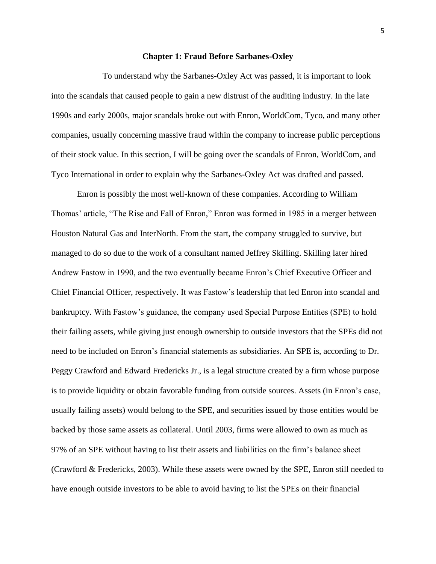#### **Chapter 1: Fraud Before Sarbanes-Oxley**

To understand why the Sarbanes-Oxley Act was passed, it is important to look into the scandals that caused people to gain a new distrust of the auditing industry. In the late 1990s and early 2000s, major scandals broke out with Enron, WorldCom, Tyco, and many other companies, usually concerning massive fraud within the company to increase public perceptions of their stock value. In this section, I will be going over the scandals of Enron, WorldCom, and Tyco International in order to explain why the Sarbanes-Oxley Act was drafted and passed.

Enron is possibly the most well-known of these companies. According to William Thomas' article, "The Rise and Fall of Enron," Enron was formed in 1985 in a merger between Houston Natural Gas and InterNorth. From the start, the company struggled to survive, but managed to do so due to the work of a consultant named Jeffrey Skilling. Skilling later hired Andrew Fastow in 1990, and the two eventually became Enron's Chief Executive Officer and Chief Financial Officer, respectively. It was Fastow's leadership that led Enron into scandal and bankruptcy. With Fastow's guidance, the company used Special Purpose Entities (SPE) to hold their failing assets, while giving just enough ownership to outside investors that the SPEs did not need to be included on Enron's financial statements as subsidiaries. An SPE is, according to Dr. Peggy Crawford and Edward Fredericks Jr., is a legal structure created by a firm whose purpose is to provide liquidity or obtain favorable funding from outside sources. Assets (in Enron's case, usually failing assets) would belong to the SPE, and securities issued by those entities would be backed by those same assets as collateral. Until 2003, firms were allowed to own as much as 97% of an SPE without having to list their assets and liabilities on the firm's balance sheet (Crawford & Fredericks, 2003). While these assets were owned by the SPE, Enron still needed to have enough outside investors to be able to avoid having to list the SPEs on their financial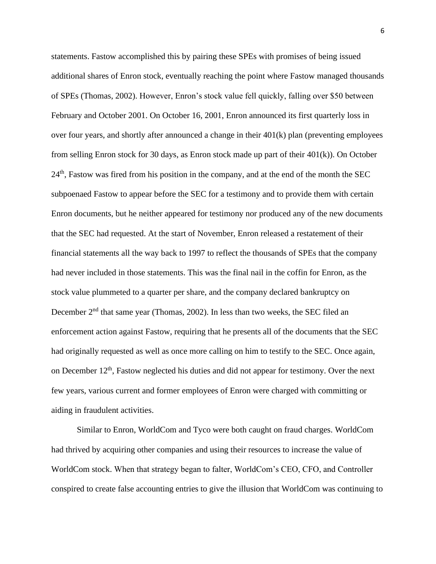statements. Fastow accomplished this by pairing these SPEs with promises of being issued additional shares of Enron stock, eventually reaching the point where Fastow managed thousands of SPEs (Thomas, 2002). However, Enron's stock value fell quickly, falling over \$50 between February and October 2001. On October 16, 2001, Enron announced its first quarterly loss in over four years, and shortly after announced a change in their 401(k) plan (preventing employees from selling Enron stock for 30 days, as Enron stock made up part of their 401(k)). On October 24<sup>th</sup>, Fastow was fired from his position in the company, and at the end of the month the SEC subpoenaed Fastow to appear before the SEC for a testimony and to provide them with certain Enron documents, but he neither appeared for testimony nor produced any of the new documents that the SEC had requested. At the start of November, Enron released a restatement of their financial statements all the way back to 1997 to reflect the thousands of SPEs that the company had never included in those statements. This was the final nail in the coffin for Enron, as the stock value plummeted to a quarter per share, and the company declared bankruptcy on December  $2<sup>nd</sup>$  that same year (Thomas, 2002). In less than two weeks, the SEC filed an enforcement action against Fastow, requiring that he presents all of the documents that the SEC had originally requested as well as once more calling on him to testify to the SEC. Once again, on December  $12<sup>th</sup>$ , Fastow neglected his duties and did not appear for testimony. Over the next few years, various current and former employees of Enron were charged with committing or aiding in fraudulent activities.

Similar to Enron, WorldCom and Tyco were both caught on fraud charges. WorldCom had thrived by acquiring other companies and using their resources to increase the value of WorldCom stock. When that strategy began to falter, WorldCom's CEO, CFO, and Controller conspired to create false accounting entries to give the illusion that WorldCom was continuing to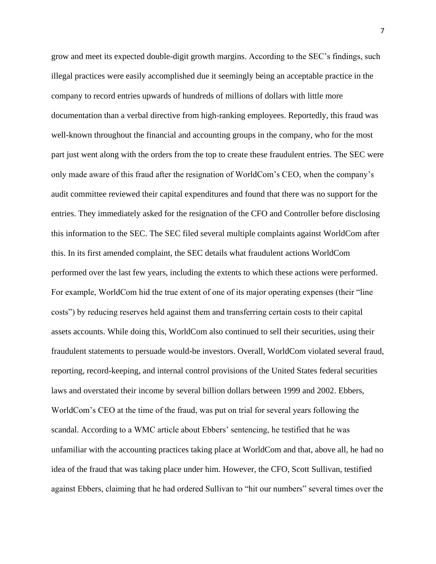grow and meet its expected double-digit growth margins. According to the SEC's findings, such illegal practices were easily accomplished due it seemingly being an acceptable practice in the company to record entries upwards of hundreds of millions of dollars with little more documentation than a verbal directive from high-ranking employees. Reportedly, this fraud was well-known throughout the financial and accounting groups in the company, who for the most part just went along with the orders from the top to create these fraudulent entries. The SEC were only made aware of this fraud after the resignation of WorldCom's CEO, when the company's audit committee reviewed their capital expenditures and found that there was no support for the entries. They immediately asked for the resignation of the CFO and Controller before disclosing this information to the SEC. The SEC filed several multiple complaints against WorldCom after this. In its first amended complaint, the SEC details what fraudulent actions WorldCom performed over the last few years, including the extents to which these actions were performed. For example, WorldCom hid the true extent of one of its major operating expenses (their "line costs") by reducing reserves held against them and transferring certain costs to their capital assets accounts. While doing this, WorldCom also continued to sell their securities, using their fraudulent statements to persuade would-be investors. Overall, WorldCom violated several fraud, reporting, record-keeping, and internal control provisions of the United States federal securities laws and overstated their income by several billion dollars between 1999 and 2002. Ebbers, WorldCom's CEO at the time of the fraud, was put on trial for several years following the scandal. According to a WMC article about Ebbers' sentencing, he testified that he was unfamiliar with the accounting practices taking place at WorldCom and that, above all, he had no idea of the fraud that was taking place under him. However, the CFO, Scott Sullivan, testified against Ebbers, claiming that he had ordered Sullivan to "hit our numbers" several times over the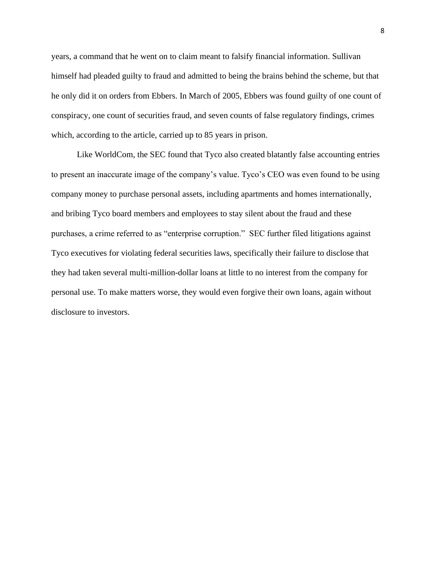years, a command that he went on to claim meant to falsify financial information. Sullivan himself had pleaded guilty to fraud and admitted to being the brains behind the scheme, but that he only did it on orders from Ebbers. In March of 2005, Ebbers was found guilty of one count of conspiracy, one count of securities fraud, and seven counts of false regulatory findings, crimes which, according to the article, carried up to 85 years in prison.

Like WorldCom, the SEC found that Tyco also created blatantly false accounting entries to present an inaccurate image of the company's value. Tyco's CEO was even found to be using company money to purchase personal assets, including apartments and homes internationally, and bribing Tyco board members and employees to stay silent about the fraud and these purchases, a crime referred to as "enterprise corruption." SEC further filed litigations against Tyco executives for violating federal securities laws, specifically their failure to disclose that they had taken several multi-million-dollar loans at little to no interest from the company for personal use. To make matters worse, they would even forgive their own loans, again without disclosure to investors.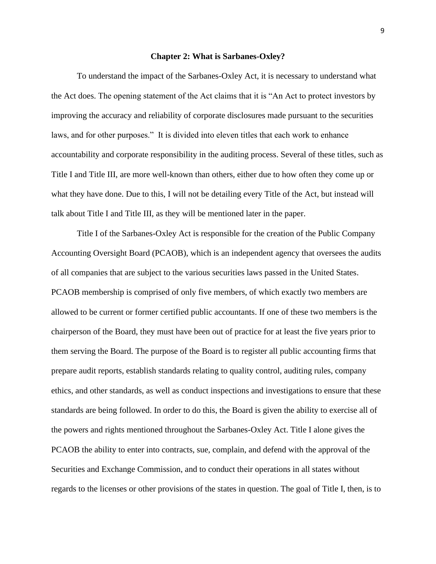#### **Chapter 2: What is Sarbanes-Oxley?**

To understand the impact of the Sarbanes-Oxley Act, it is necessary to understand what the Act does. The opening statement of the Act claims that it is "An Act to protect investors by improving the accuracy and reliability of corporate disclosures made pursuant to the securities laws, and for other purposes." It is divided into eleven titles that each work to enhance accountability and corporate responsibility in the auditing process. Several of these titles, such as Title I and Title III, are more well-known than others, either due to how often they come up or what they have done. Due to this, I will not be detailing every Title of the Act, but instead will talk about Title I and Title III, as they will be mentioned later in the paper.

Title I of the Sarbanes-Oxley Act is responsible for the creation of the Public Company Accounting Oversight Board (PCAOB), which is an independent agency that oversees the audits of all companies that are subject to the various securities laws passed in the United States. PCAOB membership is comprised of only five members, of which exactly two members are allowed to be current or former certified public accountants. If one of these two members is the chairperson of the Board, they must have been out of practice for at least the five years prior to them serving the Board. The purpose of the Board is to register all public accounting firms that prepare audit reports, establish standards relating to quality control, auditing rules, company ethics, and other standards, as well as conduct inspections and investigations to ensure that these standards are being followed. In order to do this, the Board is given the ability to exercise all of the powers and rights mentioned throughout the Sarbanes-Oxley Act. Title I alone gives the PCAOB the ability to enter into contracts, sue, complain, and defend with the approval of the Securities and Exchange Commission, and to conduct their operations in all states without regards to the licenses or other provisions of the states in question. The goal of Title I, then, is to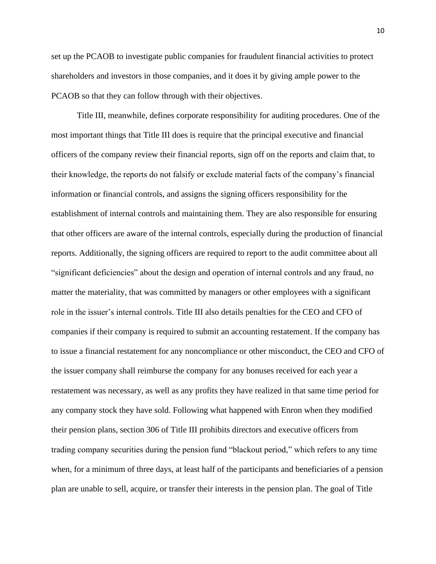set up the PCAOB to investigate public companies for fraudulent financial activities to protect shareholders and investors in those companies, and it does it by giving ample power to the PCAOB so that they can follow through with their objectives.

Title III, meanwhile, defines corporate responsibility for auditing procedures. One of the most important things that Title III does is require that the principal executive and financial officers of the company review their financial reports, sign off on the reports and claim that, to their knowledge, the reports do not falsify or exclude material facts of the company's financial information or financial controls, and assigns the signing officers responsibility for the establishment of internal controls and maintaining them. They are also responsible for ensuring that other officers are aware of the internal controls, especially during the production of financial reports. Additionally, the signing officers are required to report to the audit committee about all "significant deficiencies" about the design and operation of internal controls and any fraud, no matter the materiality, that was committed by managers or other employees with a significant role in the issuer's internal controls. Title III also details penalties for the CEO and CFO of companies if their company is required to submit an accounting restatement. If the company has to issue a financial restatement for any noncompliance or other misconduct, the CEO and CFO of the issuer company shall reimburse the company for any bonuses received for each year a restatement was necessary, as well as any profits they have realized in that same time period for any company stock they have sold. Following what happened with Enron when they modified their pension plans, section 306 of Title III prohibits directors and executive officers from trading company securities during the pension fund "blackout period," which refers to any time when, for a minimum of three days, at least half of the participants and beneficiaries of a pension plan are unable to sell, acquire, or transfer their interests in the pension plan. The goal of Title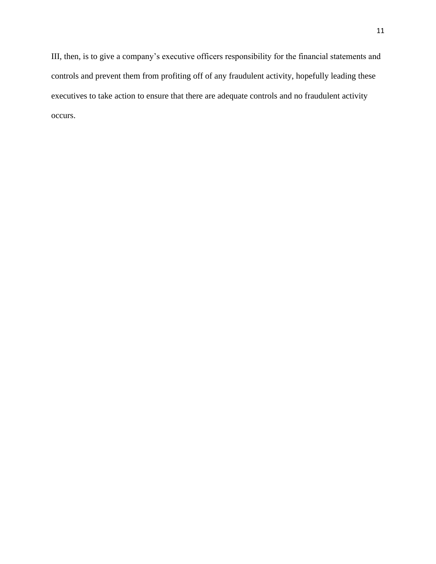III, then, is to give a company's executive officers responsibility for the financial statements and controls and prevent them from profiting off of any fraudulent activity, hopefully leading these executives to take action to ensure that there are adequate controls and no fraudulent activity occurs.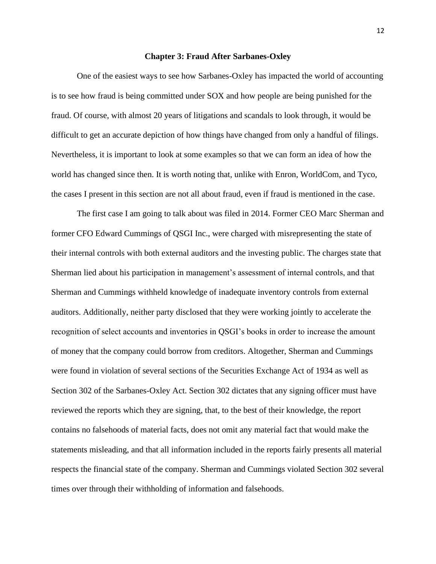#### **Chapter 3: Fraud After Sarbanes-Oxley**

One of the easiest ways to see how Sarbanes-Oxley has impacted the world of accounting is to see how fraud is being committed under SOX and how people are being punished for the fraud. Of course, with almost 20 years of litigations and scandals to look through, it would be difficult to get an accurate depiction of how things have changed from only a handful of filings. Nevertheless, it is important to look at some examples so that we can form an idea of how the world has changed since then. It is worth noting that, unlike with Enron, WorldCom, and Tyco, the cases I present in this section are not all about fraud, even if fraud is mentioned in the case.

The first case I am going to talk about was filed in 2014. Former CEO Marc Sherman and former CFO Edward Cummings of QSGI Inc., were charged with misrepresenting the state of their internal controls with both external auditors and the investing public. The charges state that Sherman lied about his participation in management's assessment of internal controls, and that Sherman and Cummings withheld knowledge of inadequate inventory controls from external auditors. Additionally, neither party disclosed that they were working jointly to accelerate the recognition of select accounts and inventories in QSGI's books in order to increase the amount of money that the company could borrow from creditors. Altogether, Sherman and Cummings were found in violation of several sections of the Securities Exchange Act of 1934 as well as Section 302 of the Sarbanes-Oxley Act. Section 302 dictates that any signing officer must have reviewed the reports which they are signing, that, to the best of their knowledge, the report contains no falsehoods of material facts, does not omit any material fact that would make the statements misleading, and that all information included in the reports fairly presents all material respects the financial state of the company. Sherman and Cummings violated Section 302 several times over through their withholding of information and falsehoods.

12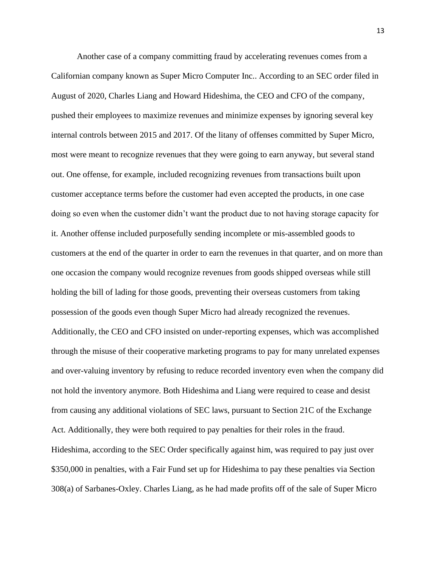Another case of a company committing fraud by accelerating revenues comes from a Californian company known as Super Micro Computer Inc.. According to an SEC order filed in August of 2020, Charles Liang and Howard Hideshima, the CEO and CFO of the company, pushed their employees to maximize revenues and minimize expenses by ignoring several key internal controls between 2015 and 2017. Of the litany of offenses committed by Super Micro, most were meant to recognize revenues that they were going to earn anyway, but several stand out. One offense, for example, included recognizing revenues from transactions built upon customer acceptance terms before the customer had even accepted the products, in one case doing so even when the customer didn't want the product due to not having storage capacity for it. Another offense included purposefully sending incomplete or mis-assembled goods to customers at the end of the quarter in order to earn the revenues in that quarter, and on more than one occasion the company would recognize revenues from goods shipped overseas while still holding the bill of lading for those goods, preventing their overseas customers from taking possession of the goods even though Super Micro had already recognized the revenues. Additionally, the CEO and CFO insisted on under-reporting expenses, which was accomplished through the misuse of their cooperative marketing programs to pay for many unrelated expenses and over-valuing inventory by refusing to reduce recorded inventory even when the company did not hold the inventory anymore. Both Hideshima and Liang were required to cease and desist from causing any additional violations of SEC laws, pursuant to Section 21C of the Exchange Act. Additionally, they were both required to pay penalties for their roles in the fraud. Hideshima, according to the SEC Order specifically against him, was required to pay just over \$350,000 in penalties, with a Fair Fund set up for Hideshima to pay these penalties via Section 308(a) of Sarbanes-Oxley. Charles Liang, as he had made profits off of the sale of Super Micro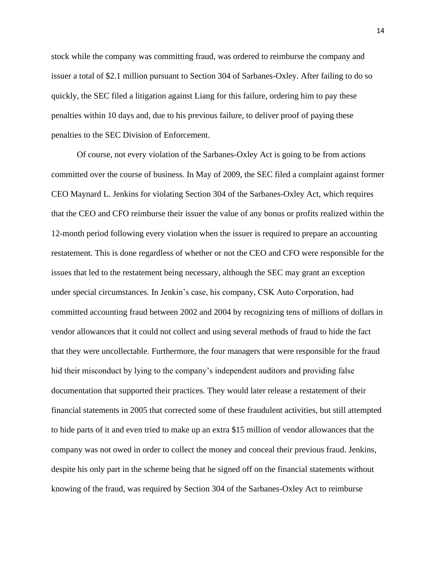stock while the company was committing fraud, was ordered to reimburse the company and issuer a total of \$2.1 million pursuant to Section 304 of Sarbanes-Oxley. After failing to do so quickly, the SEC filed a litigation against Liang for this failure, ordering him to pay these penalties within 10 days and, due to his previous failure, to deliver proof of paying these penalties to the SEC Division of Enforcement.

Of course, not every violation of the Sarbanes-Oxley Act is going to be from actions committed over the course of business. In May of 2009, the SEC filed a complaint against former CEO Maynard L. Jenkins for violating Section 304 of the Sarbanes-Oxley Act, which requires that the CEO and CFO reimburse their issuer the value of any bonus or profits realized within the 12-month period following every violation when the issuer is required to prepare an accounting restatement. This is done regardless of whether or not the CEO and CFO were responsible for the issues that led to the restatement being necessary, although the SEC may grant an exception under special circumstances. In Jenkin's case, his company, CSK Auto Corporation, had committed accounting fraud between 2002 and 2004 by recognizing tens of millions of dollars in vendor allowances that it could not collect and using several methods of fraud to hide the fact that they were uncollectable. Furthermore, the four managers that were responsible for the fraud hid their misconduct by lying to the company's independent auditors and providing false documentation that supported their practices. They would later release a restatement of their financial statements in 2005 that corrected some of these fraudulent activities, but still attempted to hide parts of it and even tried to make up an extra \$15 million of vendor allowances that the company was not owed in order to collect the money and conceal their previous fraud. Jenkins, despite his only part in the scheme being that he signed off on the financial statements without knowing of the fraud, was required by Section 304 of the Sarbanes-Oxley Act to reimburse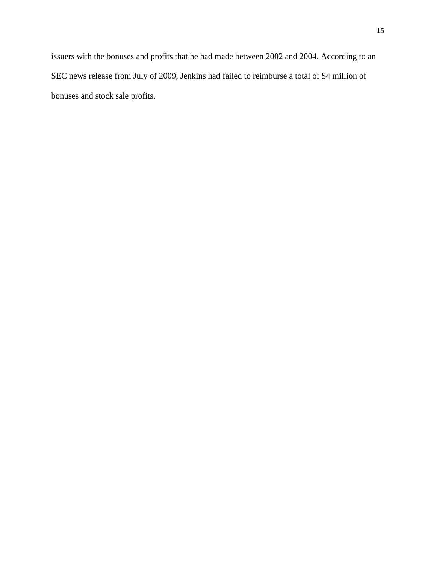issuers with the bonuses and profits that he had made between 2002 and 2004. According to an SEC news release from July of 2009, Jenkins had failed to reimburse a total of \$4 million of bonuses and stock sale profits.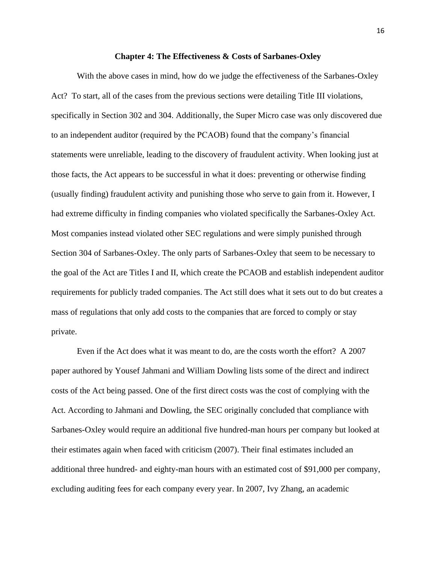#### **Chapter 4: The Effectiveness & Costs of Sarbanes-Oxley**

With the above cases in mind, how do we judge the effectiveness of the Sarbanes-Oxley Act? To start, all of the cases from the previous sections were detailing Title III violations, specifically in Section 302 and 304. Additionally, the Super Micro case was only discovered due to an independent auditor (required by the PCAOB) found that the company's financial statements were unreliable, leading to the discovery of fraudulent activity. When looking just at those facts, the Act appears to be successful in what it does: preventing or otherwise finding (usually finding) fraudulent activity and punishing those who serve to gain from it. However, I had extreme difficulty in finding companies who violated specifically the Sarbanes-Oxley Act. Most companies instead violated other SEC regulations and were simply punished through Section 304 of Sarbanes-Oxley. The only parts of Sarbanes-Oxley that seem to be necessary to the goal of the Act are Titles I and II, which create the PCAOB and establish independent auditor requirements for publicly traded companies. The Act still does what it sets out to do but creates a mass of regulations that only add costs to the companies that are forced to comply or stay private.

Even if the Act does what it was meant to do, are the costs worth the effort? A 2007 paper authored by Yousef Jahmani and William Dowling lists some of the direct and indirect costs of the Act being passed. One of the first direct costs was the cost of complying with the Act. According to Jahmani and Dowling, the SEC originally concluded that compliance with Sarbanes-Oxley would require an additional five hundred-man hours per company but looked at their estimates again when faced with criticism (2007). Their final estimates included an additional three hundred- and eighty-man hours with an estimated cost of \$91,000 per company, excluding auditing fees for each company every year. In 2007, Ivy Zhang, an academic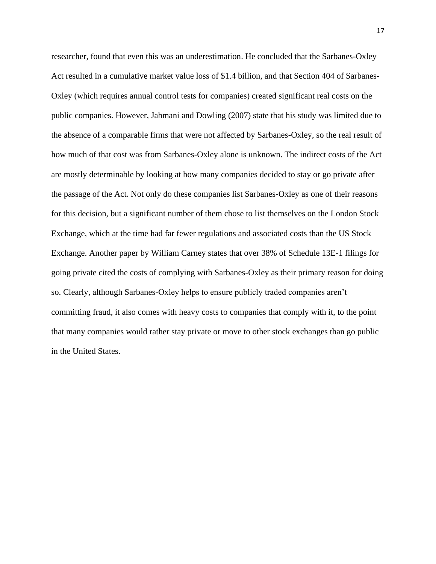researcher, found that even this was an underestimation. He concluded that the Sarbanes-Oxley Act resulted in a cumulative market value loss of \$1.4 billion, and that Section 404 of Sarbanes-Oxley (which requires annual control tests for companies) created significant real costs on the public companies. However, Jahmani and Dowling (2007) state that his study was limited due to the absence of a comparable firms that were not affected by Sarbanes-Oxley, so the real result of how much of that cost was from Sarbanes-Oxley alone is unknown. The indirect costs of the Act are mostly determinable by looking at how many companies decided to stay or go private after the passage of the Act. Not only do these companies list Sarbanes-Oxley as one of their reasons for this decision, but a significant number of them chose to list themselves on the London Stock Exchange, which at the time had far fewer regulations and associated costs than the US Stock Exchange. Another paper by William Carney states that over 38% of Schedule 13E-1 filings for going private cited the costs of complying with Sarbanes-Oxley as their primary reason for doing so. Clearly, although Sarbanes-Oxley helps to ensure publicly traded companies aren't committing fraud, it also comes with heavy costs to companies that comply with it, to the point that many companies would rather stay private or move to other stock exchanges than go public in the United States.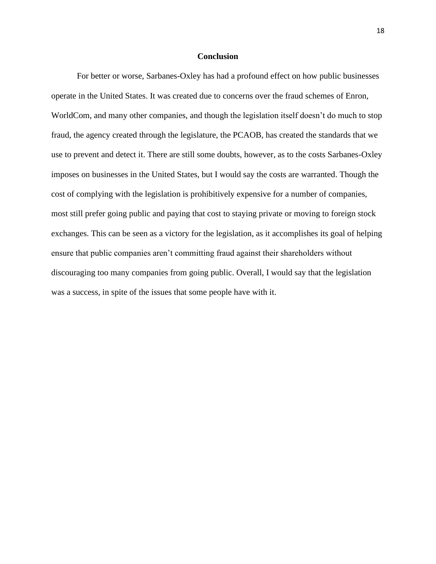#### **Conclusion**

For better or worse, Sarbanes-Oxley has had a profound effect on how public businesses operate in the United States. It was created due to concerns over the fraud schemes of Enron, WorldCom, and many other companies, and though the legislation itself doesn't do much to stop fraud, the agency created through the legislature, the PCAOB, has created the standards that we use to prevent and detect it. There are still some doubts, however, as to the costs Sarbanes-Oxley imposes on businesses in the United States, but I would say the costs are warranted. Though the cost of complying with the legislation is prohibitively expensive for a number of companies, most still prefer going public and paying that cost to staying private or moving to foreign stock exchanges. This can be seen as a victory for the legislation, as it accomplishes its goal of helping ensure that public companies aren't committing fraud against their shareholders without discouraging too many companies from going public. Overall, I would say that the legislation was a success, in spite of the issues that some people have with it.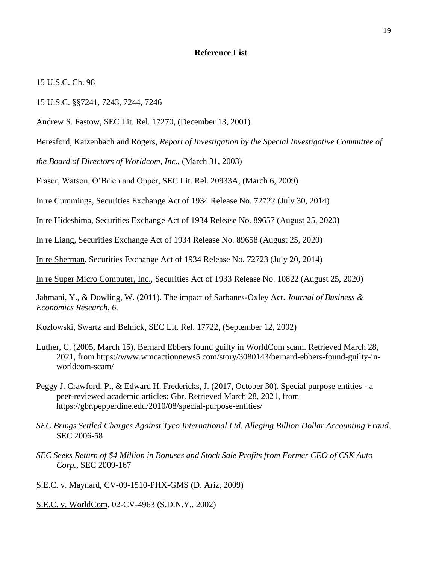#### **Reference List**

15 U.S.C. Ch. 98

15 U.S.C. §§7241, 7243, 7244, 7246

Andrew S. Fastow, SEC Lit. Rel. 17270, (December 13, 2001)

Beresford, Katzenbach and Rogers, *Report of Investigation by the Special Investigative Committee of* 

*the Board of Directors of Worldcom, Inc.,* (March 31, 2003)

Fraser, Watson, O'Brien and Opper, SEC Lit. Rel. 20933A, (March 6, 2009)

In re Cummings, Securities Exchange Act of 1934 Release No. 72722 (July 30, 2014)

In re Hideshima, Securities Exchange Act of 1934 Release No. 89657 (August 25, 2020)

In re Liang, Securities Exchange Act of 1934 Release No. 89658 (August 25, 2020)

In re Sherman, Securities Exchange Act of 1934 Release No. 72723 (July 20, 2014)

In re Super Micro Computer, Inc., Securities Act of 1933 Release No. 10822 (August 25, 2020)

Jahmani, Y., & Dowling, W. (2011). The impact of Sarbanes-Oxley Act. *Journal of Business & Economics Research, 6.*

Kozlowski, Swartz and Belnick, SEC Lit. Rel. 17722, (September 12, 2002)

- Luther, C. (2005, March 15). Bernard Ebbers found guilty in WorldCom scam. Retrieved March 28, 2021, from https://www.wmcactionnews5.com/story/3080143/bernard-ebbers-found-guilty-inworldcom-scam/
- Peggy J. Crawford, P., & Edward H. Fredericks, J. (2017, October 30). Special purpose entities a peer-reviewed academic articles: Gbr. Retrieved March 28, 2021, from https://gbr.pepperdine.edu/2010/08/special-purpose-entities/
- *SEC Brings Settled Charges Against Tyco International Ltd. Alleging Billion Dollar Accounting Fraud,* SEC 2006-58
- *SEC Seeks Return of \$4 Million in Bonuses and Stock Sale Profits from Former CEO of CSK Auto Corp.*, SEC 2009-167

S.E.C. v. Maynard, CV-09-1510-PHX-GMS (D. Ariz, 2009)

S.E.C. v. WorldCom, 02-CV-4963 (S.D.N.Y., 2002)